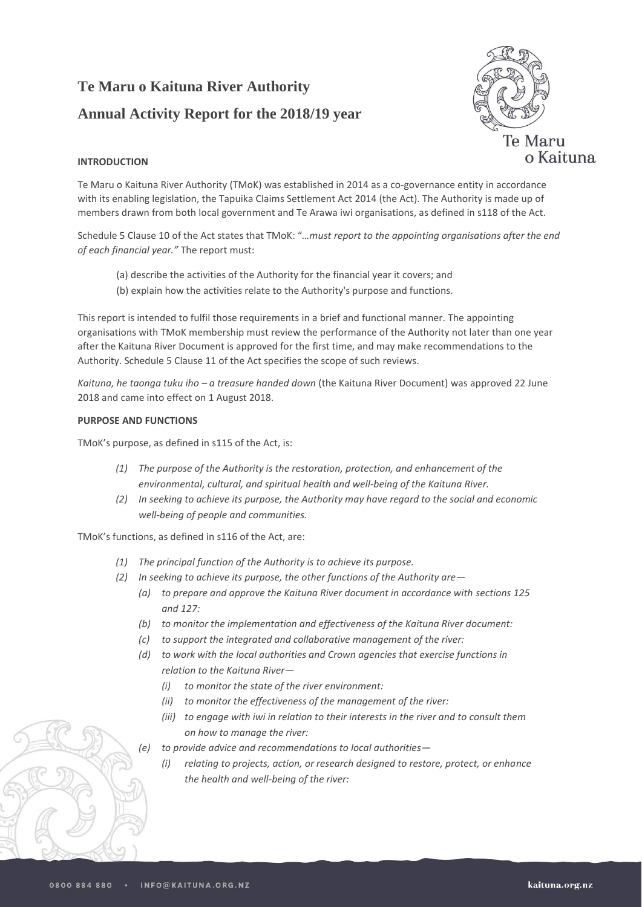# **Te Maru o Kaituna River Authority Annual Activity Report for the 2018/19 year**



# **INTRODUCTION**

Te Maru o Kaituna River Authority (TMoK) was established in 2014 as a co-governance entity in accordance with its enabling legislation, the Tapuika Claims Settlement Act 2014 (the Act). The Authority is made up of members drawn from both local government and Te Arawa iwi organisations, as defined in s118 of the Act.

Schedule 5 Clause 10 of the Act states that TMoK: "*…must report to the appointing organisations after the end of each financial year."* The report must:

(a) describe the activities of the Authority for the financial year it covers; and (b) explain how the activities relate to the Authority's purpose and functions.

This report is intended to fulfil those requirements in a brief and functional manner. The appointing organisations with TMoK membership must review the performance of the Authority not later than one year after the Kaituna River Document is approved for the first time, and may make recommendations to the Authority. Schedule 5 Clause 11 of the Act specifies the scope of such reviews.

*Kaituna, he taonga tuku iho – a treasure handed down* (the Kaituna River Document) was approved 22 June 2018 and came into effect on 1 August 2018.

## **PURPOSE AND FUNCTIONS**

TMoK's purpose, as defined in s115 of the Act, is:

- *(1) The purpose of the Authority is the restoration, protection, and enhancement of the environmental, cultural, and spiritual health and well-being of the Kaituna River.*
- *(2) In seeking to achieve its purpose, the Authority may have regard to the social and economic well-being of people and communities.*

TMoK's functions, as defined in s116 of the Act, are:

- *(1) The principal function of the Authority is to achieve its purpose.*
- *(2) In seeking to achieve its purpose, the other functions of the Authority are—*
	- *(a) to prepare and approve the Kaituna River document in accordance with [sections 125](http://www.legislation.govt.nz/act/public/2014/0015/latest/link.aspx?search=ts_act%40bill%40regulation%40deemedreg_tapuika_resel_25_a&p=1&id=DLM5993135#DLM5993135) an[d 127:](http://www.legislation.govt.nz/act/public/2014/0015/latest/link.aspx?search=ts_act%40bill%40regulation%40deemedreg_tapuika_resel_25_a&p=1&id=DLM5993138#DLM5993138)*
	- *(b) to monitor the implementation and effectiveness of the Kaituna River document:*
	- *(c) to support the integrated and collaborative management of the river:*
	- *(d) to work with the local authorities and Crown agencies that exercise functions in relation to the Kaituna River—*
		- *(i) to monitor the state of the river environment:*
		- *(ii) to monitor the effectiveness of the management of the river:*
		- *(iii) to engage with iwi in relation to their interests in the river and to consult them on how to manage the river:*
	- *(e) to provide advice and recommendations to local authorities—*
		- *(i) relating to projects, action, or research designed to restore, protect, or enhance the health and well-being of the river:*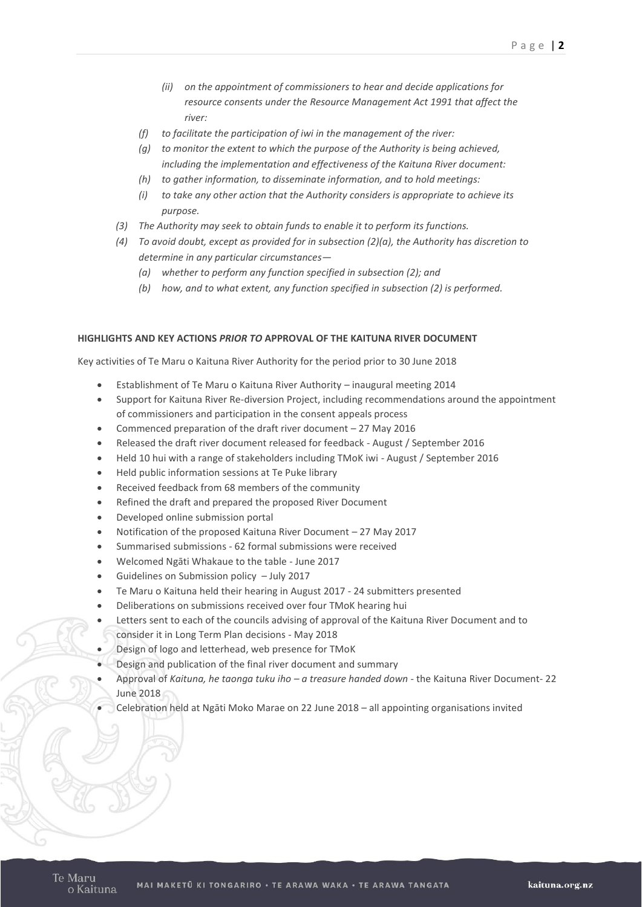- *(ii) on the appointment of commissioners to hear and decide applications for resource consents under th[e Resource Management Act 1991](http://www.legislation.govt.nz/act/public/2014/0015/latest/link.aspx?search=ts_act%40bill%40regulation%40deemedreg_tapuika_resel_25_a&p=1&id=DLM230264#DLM230264) that affect the river:*
- *(f) to facilitate the participation of iwi in the management of the river:*
- *(g) to monitor the extent to which the purpose of the Authority is being achieved, including the implementation and effectiveness of the Kaituna River document:*
- *(h) to gather information, to disseminate information, and to hold meetings:*
- *(i) to take any other action that the Authority considers is appropriate to achieve its purpose.*
- *(3) The Authority may seek to obtain funds to enable it to perform its functions.*
- *(4) To avoid doubt, except as provided for in subsection (2)(a), the Authority has discretion to determine in any particular circumstances—*
	- *(a) whether to perform any function specified in subsection (2); and*
	- *(b) how, and to what extent, any function specified in subsection (2) is performed.*

### **HIGHLIGHTS AND KEY ACTIONS** *PRIOR TO* **APPROVAL OF THE KAITUNA RIVER DOCUMENT**

Key activities of Te Maru o Kaituna River Authority for the period prior to 30 June 2018

- Establishment of Te Maru o Kaituna River Authority inaugural meeting 2014
- Support for Kaituna River Re-diversion Project, including recommendations around the appointment of commissioners and participation in the consent appeals process
- Commenced preparation of the draft river document 27 May 2016
- Released the draft river document released for feedback August / September 2016
- Held 10 hui with a range of stakeholders including TMoK iwi August / September 2016
- Held public information sessions at Te Puke library
- Received feedback from 68 members of the community
- Refined the draft and prepared the proposed River Document
- Developed online submission portal
- Notification of the proposed Kaituna River Document 27 May 2017
- Summarised submissions 62 formal submissions were received
- Welcomed Ngāti Whakaue to the table June 2017
- Guidelines on Submission policy July 2017
- Te Maru o Kaituna held their hearing in August 2017 24 submitters presented
- Deliberations on submissions received over four TMoK hearing hui
- Letters sent to each of the councils advising of approval of the Kaituna River Document and to consider it in Long Term Plan decisions - May 2018
- Design of logo and letterhead, web presence for TMoK
- Design and publication of the final river document and summary
- Approval of *Kaituna, he taonga tuku iho – a treasure handed down* the Kaituna River Document- 22 June 2018
- Celebration held at Ngāti Moko Marae on 22 June 2018 all appointing organisations invited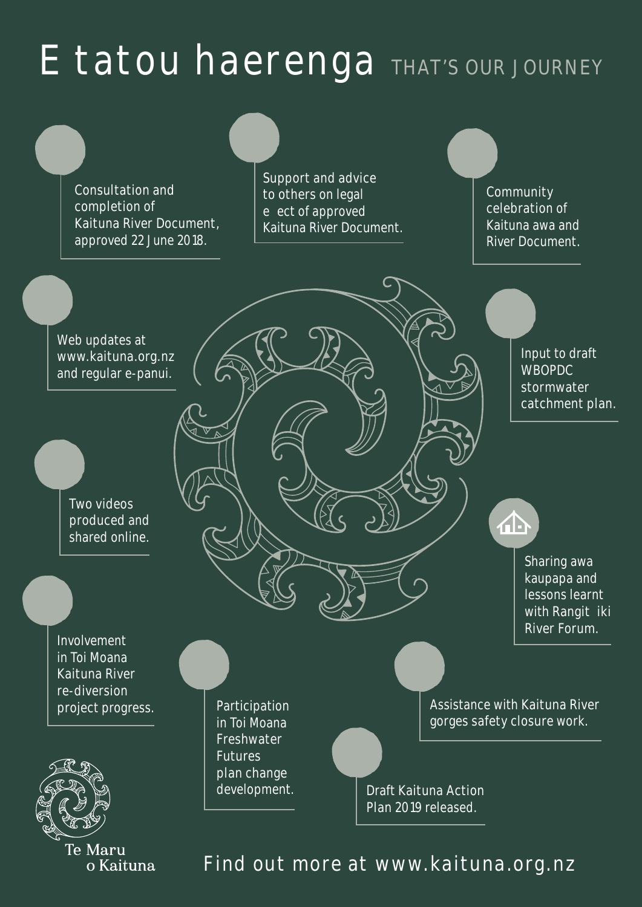# **E tatou haerenga THAT'S OUR JOURNEY**

**Consultation and completion of Kaituna River Document,**  approved 22 June 2018**.**

**Support and advice to others** on legal e ect of approved Kaituna River Document.

**Community celebratio**n of Kaituna awa and River Document.

> Input to draft **WBOPDC stormwater**

**catchment plan.**

Sharing awa kaupapa and lessons learnt with Rangit iki **River Forum.**

Web updates at **www.kaituna.org.nz** and regular e-panui.

> **Two videos produced** and shared online.

Involvement in Toi Moana **Kaituna River re-diversion**  project progress. **Participation** 

**Te Maru** o Kaituna in Toi Moana **Freshwater Futures plan change** Assistance with **Kaituna River gorges safety closure** work.

企

development**.** Draft **Kaituna Action Plan 2019** released.

**Find out more at www.kaituna.org.nz**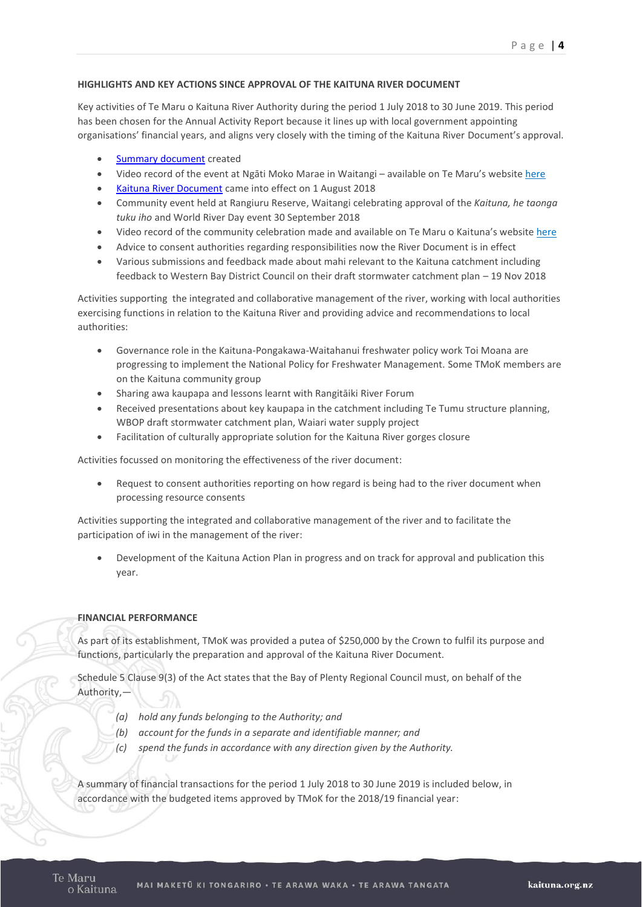## **HIGHLIGHTS AND KEY ACTIONS SINCE APPROVAL OF THE KAITUNA RIVER DOCUMENT**

Key activities of Te Maru o Kaituna River Authority during the period 1 July 2018 to 30 June 2019. This period has been chosen for the Annual Activity Report because it lines up with local government appointing organisations' financial years, and aligns very closely with the timing of the Kaituna River Document's approval.

- [Summary document c](https://cdn.boprc.govt.nz/media/765799/tmok-kaituna-river-supplementary-doc-a4-v2-proof-4.pdf)reated
- Video record of the event at Ngāti Moko Marae in Waitangi available on Te Maru's website [here](https://www.boprc.govt.nz/your-council/council-and-region/council-and-committees/te-maru-o-kaituna-river-authority/)
- [Kaituna River Document c](https://cdn.boprc.govt.nz/media/765798/kaituna-river-document-final-v2-proof-4.pdf)ame into effect on 1 August 2018
- Community event held at Rangiuru Reserve, Waitangi celebrating approval of the *Kaituna, he taonga tuku iho* and World River Day event 30 September 2018
- Video record of the community celebration made and available on Te Maru o Kaituna's website [here](https://www.boprc.govt.nz/your-council/council-and-region/council-and-committees/te-maru-o-kaituna-river-authority/)
- Advice to consent authorities regarding responsibilities now the River Document is in effect
- Various submissions and feedback made about mahi relevant to the Kaituna catchment including feedback to Western Bay District Council on their draft stormwater catchment plan – 19 Nov 2018

Activities supporting the integrated and collaborative management of the river, working with local authorities exercising functions in relation to the Kaituna River and providing advice and recommendations to local authorities:

- Governance role in the Kaituna-Pongakawa-Waitahanui freshwater policy work Toi Moana are progressing to implement the National Policy for Freshwater Management. Some TMoK members are on the Kaituna community group
- Sharing awa kaupapa and lessons learnt with Rangitāiki River Forum
- Received presentations about key kaupapa in the catchment including Te Tumu structure planning, WBOP draft stormwater catchment plan, Waiari water supply project
- Facilitation of culturally appropriate solution for the Kaituna River gorges closure

Activities focussed on monitoring the effectiveness of the river document:

 Request to consent authorities reporting on how regard is being had to the river document when processing resource consents

Activities supporting the integrated and collaborative management of the river and to facilitate the participation of iwi in the management of the river:

 Development of the Kaituna Action Plan in progress and on track for approval and publication this year.

### **FINANCIAL PERFORMANCE**

As part of its establishment, TMoK was provided a putea of \$250,000 by the Crown to fulfil its purpose and functions, particularly the preparation and approval of the Kaituna River Document.

Schedule 5 Clause 9(3) of the Act states that the Bay of Plenty Regional Council must, on behalf of the Authority,—

- *(a) hold any funds belonging to the Authority; and*
- *(b) account for the funds in a separate and identifiable manner; and*
- *(c) spend the funds in accordance with any direction given by the Authority.*

A summary of financial transactions for the period 1 July 2018 to 30 June 2019 is included below, in accordance with the budgeted items approved by TMoK for the 2018/19 financial year: